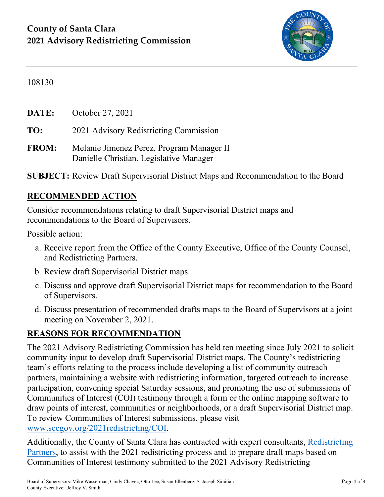

#### 108130

**DATE:** October 27, 2021

**TO:** 2021 Advisory Redistricting Commission

**FROM:** Melanie Jimenez Perez, Program Manager II Danielle Christian, Legislative Manager

**SUBJECT:** Review Draft Supervisorial District Maps and Recommendation to the Board

#### **RECOMMENDED ACTION**

Consider recommendations relating to draft Supervisorial District maps and recommendations to the Board of Supervisors.

Possible action:

- a. Receive report from the Office of the County Executive, Office of the County Counsel, and Redistricting Partners.
- b. Review draft Supervisorial District maps.
- c. Discuss and approve draft Supervisorial District maps for recommendation to the Board of Supervisors.
- d. Discuss presentation of recommended drafts maps to the Board of Supervisors at a joint meeting on November 2, 2021.

#### **REASONS FOR RECOMMENDATION**

The 2021 Advisory Redistricting Commission has held ten meeting since July 2021 to solicit community input to develop draft Supervisorial District maps. The County's redistricting team's efforts relating to the process include developing a list of community outreach partners, maintaining a website with redistricting information, targeted outreach to increase participation, convening special Saturday sessions, and promoting the use of submissions of Communities of Interest (COI) testimony through a form or the online mapping software to draw points of interest, communities or neighborhoods, or a draft Supervisorial District map. To review Communities of Interest submissions, please visit [www.sccgov.org/2021redistricting/COI.](http://www.sccgov.org/2021redistricting/COI)

Additionally, the County of Santa Clara has contracted with expert consultants, [Redistricting](https://redistrictingpartners.com/)  [Partners,](https://redistrictingpartners.com/) to assist with the 2021 redistricting process and to prepare draft maps based on Communities of Interest testimony submitted to the 2021 Advisory Redistricting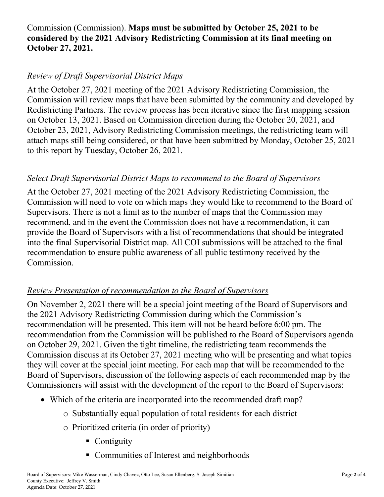#### Commission (Commission). **Maps must be submitted by October 25, 2021 to be considered by the 2021 Advisory Redistricting Commission at its final meeting on October 27, 2021.**

#### *Review of Draft Supervisorial District Maps*

At the October 27, 2021 meeting of the 2021 Advisory Redistricting Commission, the Commission will review maps that have been submitted by the community and developed by Redistricting Partners. The review process has been iterative since the first mapping session on October 13, 2021. Based on Commission direction during the October 20, 2021, and October 23, 2021, Advisory Redistricting Commission meetings, the redistricting team will attach maps still being considered, or that have been submitted by Monday, October 25, 2021 to this report by Tuesday, October 26, 2021.

#### *Select Draft Supervisorial District Maps to recommend to the Board of Supervisors*

At the October 27, 2021 meeting of the 2021 Advisory Redistricting Commission, the Commission will need to vote on which maps they would like to recommend to the Board of Supervisors. There is not a limit as to the number of maps that the Commission may recommend, and in the event the Commission does not have a recommendation, it can provide the Board of Supervisors with a list of recommendations that should be integrated into the final Supervisorial District map. All COI submissions will be attached to the final recommendation to ensure public awareness of all public testimony received by the Commission.

#### *Review Presentation of recommendation to the Board of Supervisors*

On November 2, 2021 there will be a special joint meeting of the Board of Supervisors and the 2021 Advisory Redistricting Commission during which the Commission's recommendation will be presented. This item will not be heard before 6:00 pm. The recommendation from the Commission will be published to the Board of Supervisors agenda on October 29, 2021. Given the tight timeline, the redistricting team recommends the Commission discuss at its October 27, 2021 meeting who will be presenting and what topics they will cover at the special joint meeting. For each map that will be recommended to the Board of Supervisors, discussion of the following aspects of each recommended map by the Commissioners will assist with the development of the report to the Board of Supervisors:

- Which of the criteria are incorporated into the recommended draft map?
	- o Substantially equal population of total residents for each district
	- o Prioritized criteria (in order of priority)
		- Contiguity
		- Communities of Interest and neighborhoods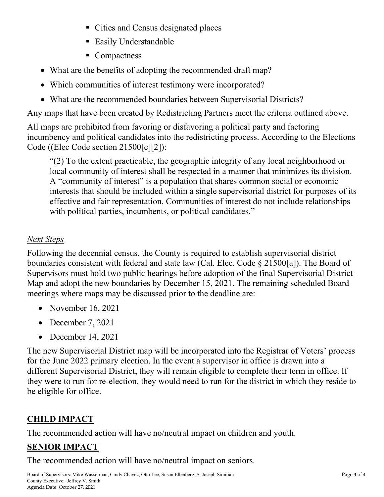- Cities and Census designated places
- Easily Understandable
- Compactness
- What are the benefits of adopting the recommended draft map?
- Which communities of interest testimony were incorporated?
- What are the recommended boundaries between Supervisorial Districts?

Any maps that have been created by Redistricting Partners meet the criteria outlined above.

All maps are prohibited from favoring or disfavoring a political party and factoring incumbency and political candidates into the redistricting process. According to the Elections Code ((Elec Code section 21500[c][2]):

"(2) To the extent practicable, the geographic integrity of any local neighborhood or local community of interest shall be respected in a manner that minimizes its division. A "community of interest" is a population that shares common social or economic interests that should be included within a single supervisorial district for purposes of its effective and fair representation. Communities of interest do not include relationships with political parties, incumbents, or political candidates."

### *Next Steps*

Following the decennial census, the County is required to establish supervisorial district boundaries consistent with federal and state law (Cal. Elec. Code § 21500[a]). The Board of Supervisors must hold two public hearings before adoption of the final Supervisorial District Map and adopt the new boundaries by December 15, 2021. The remaining scheduled Board meetings where maps may be discussed prior to the deadline are:

- November 16, 2021
- December 7, 2021
- December 14, 2021

The new Supervisorial District map will be incorporated into the Registrar of Voters' process for the June 2022 primary election. In the event a supervisor in office is drawn into a different Supervisorial District, they will remain eligible to complete their term in office. If they were to run for re-election, they would need to run for the district in which they reside to be eligible for office.

# **CHILD IMPACT**

The recommended action will have no/neutral impact on children and youth.

## **SENIOR IMPACT**

The recommended action will have no/neutral impact on seniors.